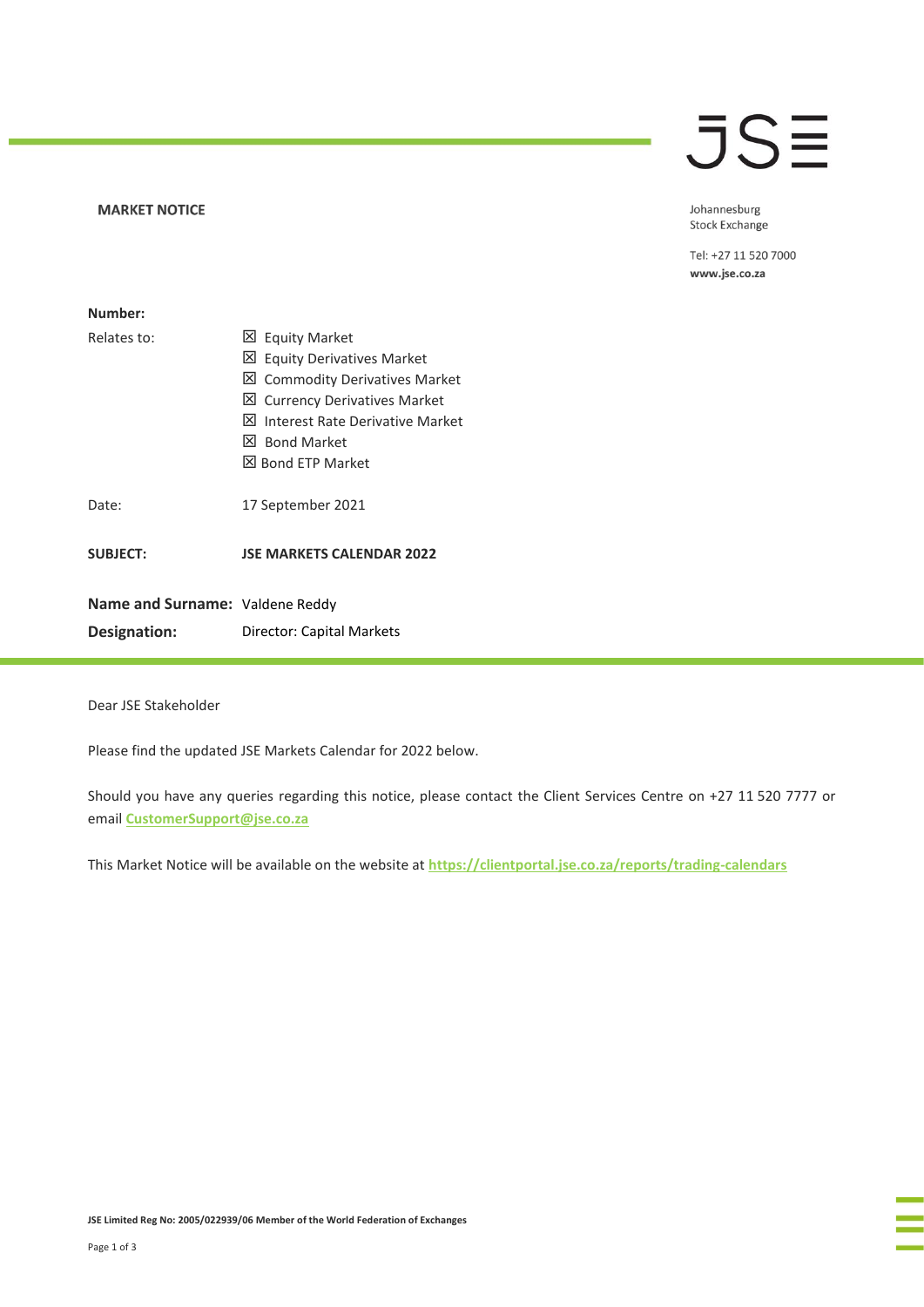## **MARKET NOTICE**

## **JSE**

Johannesburg Stock Exchange

Tel: +27 11 520 7000 www.jse.co.za

| Number:                                         |                                                                                                                                                                                                          |
|-------------------------------------------------|----------------------------------------------------------------------------------------------------------------------------------------------------------------------------------------------------------|
| Relates to:                                     | 凶 Equity Market<br>⊠ Equity Derivatives Market<br>凶 Commodity Derivatives Market<br>⊠ Currency Derivatives Market<br>l×l<br>Interest Rate Derivative Market<br>X Bond Market<br><b>X</b> Bond FTP Market |
| Date:                                           | 17 September 2021                                                                                                                                                                                        |
| <b>SUBJECT:</b>                                 | <b>JSE MARKETS CALENDAR 2022</b>                                                                                                                                                                         |
| Name and Surname: Valdene Reddy<br>Designation: | Director: Capital Markets                                                                                                                                                                                |

Dear JSE Stakeholder

Please find the updated JSE Markets Calendar for 2022 below.

Should you have any queries regarding this notice, please contact the Client Services Centre on +27 11 520 7777 or email **[CustomerSupport@jse.co.za](mailto:CustomerSupport@jse.co.za)**

This Market Notice will be available on the website at **<https://clientportal.jse.co.za/reports/trading-calendars>**

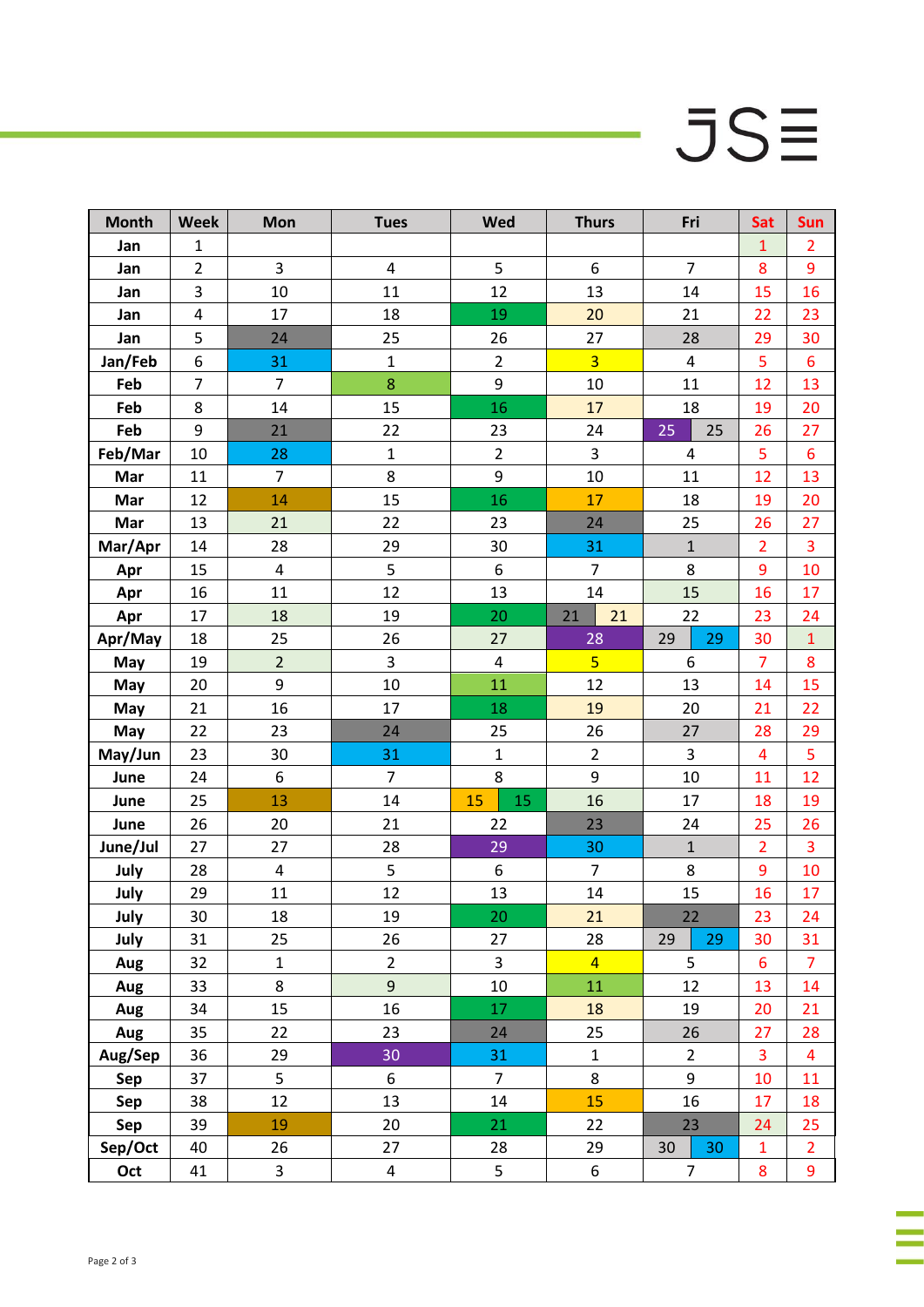## $JSE$

÷

à,

| <b>Month</b> | <b>Week</b>             | Mon                     | <b>Tues</b>    | Wed                     | <b>Thurs</b>   | Fri            | Sat                     | Sun            |
|--------------|-------------------------|-------------------------|----------------|-------------------------|----------------|----------------|-------------------------|----------------|
| Jan          | $\mathbf{1}$            |                         |                |                         |                |                | $\mathbf{1}$            | $\overline{2}$ |
| Jan          | $\overline{2}$          | 3                       | 4              | 5                       | 6              | $\overline{7}$ | 8                       | 9              |
| Jan          | 3                       | 10                      | 11             | 12                      | 13             | 14             | 15                      | 16             |
| Jan          | $\overline{\mathbf{4}}$ | 17                      | 18             | 19                      | 20             | 21             | 22                      | 23             |
| Jan          | 5                       | 24                      | 25             | 26                      | 27             | 28             | 29                      | 30             |
| Jan/Feb      | 6                       | 31                      | $\mathbf 1$    | $\overline{2}$          | $\overline{3}$ | 4              | 5                       | 6              |
| Feb          | $\overline{7}$          | $\overline{7}$          | 8              | 9                       | 10             | 11             | 12                      | 13             |
| Feb          | 8                       | 14                      | 15             | 16                      | 17             | 18             | 19                      | 20             |
| Feb          | 9                       | 21                      | 22             | 23                      | 24             | 25<br>25       | 26                      | 27             |
| Feb/Mar      | 10                      | 28                      | $\mathbf 1$    | $\overline{2}$          | $\mathsf{3}$   | 4              | 5                       | 6              |
| Mar          | 11                      | $\overline{7}$          | 8              | 9                       | 10             | 11             | 12                      | 13             |
| Mar          | 12                      | 14                      | 15             | 16                      | 17             | 18             | 19                      | 20             |
| Mar          | 13                      | 21                      | 22             | 23                      | 24             | 25             | 26                      | 27             |
| Mar/Apr      | 14                      | 28                      | 29             | 30                      | 31             | $\mathbf 1$    | $\overline{2}$          | 3              |
| Apr          | 15                      | $\overline{\mathbf{4}}$ | 5              | 6                       | $\overline{7}$ | 8              | 9                       | 10             |
| Apr          | 16                      | 11                      | 12             | 13                      | 14             | 15             | 16                      | 17             |
| Apr          | 17                      | 18                      | 19             | 20                      | 21<br>21       | 22             | 23                      | 24             |
| Apr/May      | 18                      | 25                      | 26             | 27                      | 28             | 29<br>29       | 30                      | $\mathbf 1$    |
| May          | 19                      | $\overline{2}$          | 3              | $\overline{\mathbf{4}}$ | 5 <sup>1</sup> | 6              | $\overline{7}$          | 8              |
| May          | 20                      | 9                       | 10             | 11                      | 12             | 13             | 14                      | 15             |
| May          | 21                      | 16                      | 17             | 18                      | 19             | 20             | 21                      | 22             |
| May          | 22                      | 23                      | 24             | 25                      | 26             | 27             | 28                      | 29             |
| May/Jun      | 23                      | 30                      | 31             | $\mathbf{1}$            | $\overline{2}$ | 3              | $\overline{\mathbf{4}}$ | 5              |
| June         | 24                      | 6                       | $\overline{7}$ | 8                       | 9              | 10             | 11                      | 12             |
| June         | 25                      | 13                      | 14             | 15<br>15                | 16             | 17             | 18                      | 19             |
| June         | 26                      | 20                      | 21             | 22                      | 23             | 24             | 25                      | 26             |
| June/Jul     | 27                      | 27                      | 28             | 29                      | 30             | $\mathbf 1$    | $\overline{2}$          | 3              |
| July         | 28                      | 4                       | 5              | $\boldsymbol{6}$        | $\overline{7}$ | 8              | 9                       | 10             |
| July         | 29                      | 11                      | 12             | 13                      | 14             | 15             | 16                      | 17             |
| July         | 30                      | 18                      | 19             | 20                      | 21             | 22             | 23                      | 24             |
| July         | 31                      | 25                      | 26             | 27                      | 28             | 29<br>29       | 30                      | 31             |
| Aug          | 32                      | $\mathbf{1}$            | $\overline{2}$ | $\overline{\mathbf{3}}$ | $\overline{4}$ | 5              | $6\phantom{1}$          | 7              |
| Aug          | 33                      | 8                       | 9              | 10                      | 11             | 12             | 13                      | 14             |
| Aug          | 34                      | 15                      | 16             | 17                      | 18             | 19             | 20                      | 21             |
| Aug          | 35                      | 22                      | 23             | 24                      | 25             | 26             | 27                      | 28             |
| Aug/Sep      | 36                      | 29                      | 30             | 31                      | $\mathbf 1$    | $\overline{2}$ | 3                       | $\overline{4}$ |
| Sep          | 37                      | 5                       | 6              | $\overline{7}$          | 8              | 9              | 10                      | 11             |
| Sep          | 38                      | 12                      | 13             | 14                      | 15             | 16             | 17                      | 18             |
| Sep          | 39                      | 19                      | 20             | 21                      | 22             | 23             | 24                      | 25             |
| Sep/Oct      | 40                      | 26                      | 27             | 28                      | 29             | 30<br>30       | $\mathbf{1}$            | $\overline{2}$ |
| Oct          | 41                      | 3                       | 4              | 5                       | 6              | 7              | 8                       | 9              |